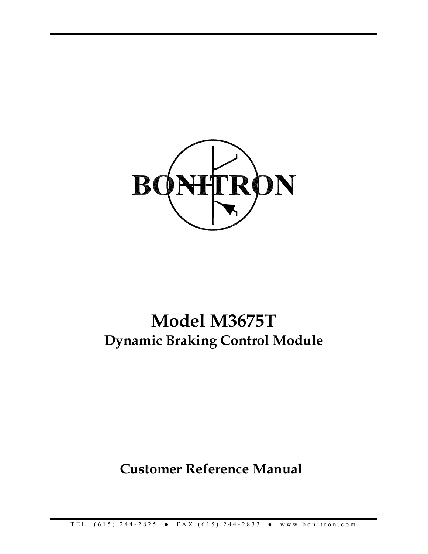

# **Model M3675T Dynamic Braking Control Module**

**Customer Reference Manual**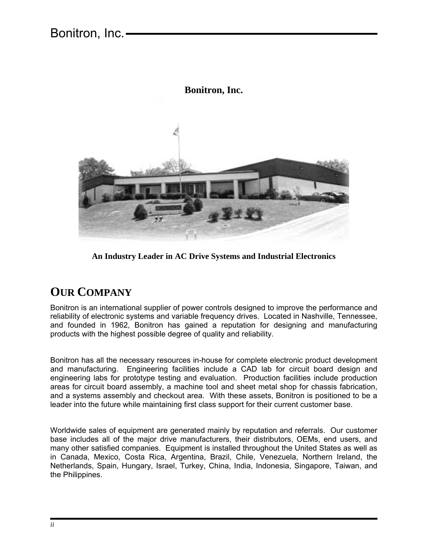## Bonitron, Inc.



#### **Bonitron, Inc.**

**An Industry Leader in AC Drive Systems and Industrial Electronics** 

## **OUR COMPANY**

Bonitron is an international supplier of power controls designed to improve the performance and reliability of electronic systems and variable frequency drives. Located in Nashville, Tennessee, and founded in 1962, Bonitron has gained a reputation for designing and manufacturing products with the highest possible degree of quality and reliability.

Bonitron has all the necessary resources in-house for complete electronic product development and manufacturing. Engineering facilities include a CAD lab for circuit board design and engineering labs for prototype testing and evaluation. Production facilities include production areas for circuit board assembly, a machine tool and sheet metal shop for chassis fabrication, and a systems assembly and checkout area. With these assets, Bonitron is positioned to be a leader into the future while maintaining first class support for their current customer base.

Worldwide sales of equipment are generated mainly by reputation and referrals. Our customer base includes all of the major drive manufacturers, their distributors, OEMs, end users, and many other satisfied companies. Equipment is installed throughout the United States as well as in Canada, Mexico, Costa Rica, Argentina, Brazil, Chile, Venezuela, Northern Ireland, the Netherlands, Spain, Hungary, Israel, Turkey, China, India, Indonesia, Singapore, Taiwan, and the Philippines.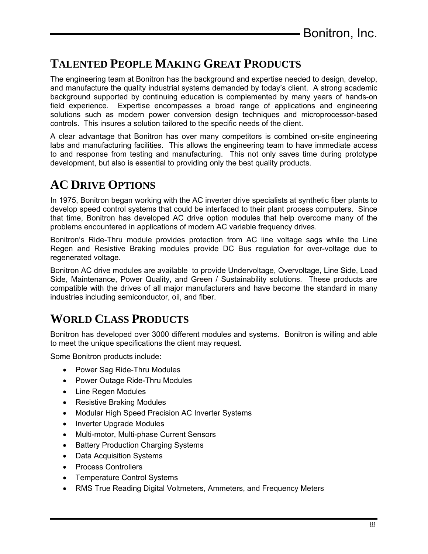## **TALENTED PEOPLE MAKING GREAT PRODUCTS**

The engineering team at Bonitron has the background and expertise needed to design, develop, and manufacture the quality industrial systems demanded by today's client. A strong academic background supported by continuing education is complemented by many years of hands-on field experience. Expertise encompasses a broad range of applications and engineering solutions such as modern power conversion design techniques and microprocessor-based controls. This insures a solution tailored to the specific needs of the client.

A clear advantage that Bonitron has over many competitors is combined on-site engineering labs and manufacturing facilities. This allows the engineering team to have immediate access to and response from testing and manufacturing. This not only saves time during prototype development, but also is essential to providing only the best quality products.

## **AC DRIVE OPTIONS**

In 1975, Bonitron began working with the AC inverter drive specialists at synthetic fiber plants to develop speed control systems that could be interfaced to their plant process computers. Since that time, Bonitron has developed AC drive option modules that help overcome many of the problems encountered in applications of modern AC variable frequency drives.

Bonitron's Ride-Thru module provides protection from AC line voltage sags while the Line Regen and Resistive Braking modules provide DC Bus regulation for over-voltage due to regenerated voltage.

Bonitron AC drive modules are available to provide Undervoltage, Overvoltage, Line Side, Load Side, Maintenance, Power Quality, and Green / Sustainability solutions. These products are compatible with the drives of all major manufacturers and have become the standard in many industries including semiconductor, oil, and fiber.

## **WORLD CLASS PRODUCTS**

Bonitron has developed over 3000 different modules and systems. Bonitron is willing and able to meet the unique specifications the client may request.

Some Bonitron products include:

- Power Sag Ride-Thru Modules
- Power Outage Ride-Thru Modules
- Line Regen Modules
- Resistive Braking Modules
- Modular High Speed Precision AC Inverter Systems
- Inverter Upgrade Modules
- Multi-motor, Multi-phase Current Sensors
- Battery Production Charging Systems
- Data Acquisition Systems
- Process Controllers
- Temperature Control Systems
- RMS True Reading Digital Voltmeters, Ammeters, and Frequency Meters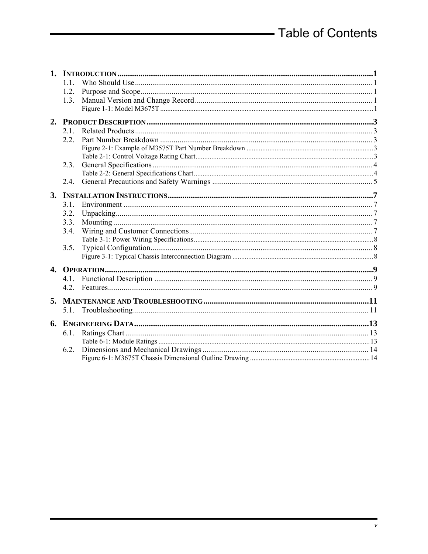|              | 11   |  |
|--------------|------|--|
|              | 1.2. |  |
|              | 1.3. |  |
|              |      |  |
|              |      |  |
|              | 21   |  |
|              | 2.2. |  |
|              |      |  |
|              |      |  |
|              | 2.3. |  |
|              |      |  |
|              | 2.4. |  |
|              |      |  |
|              | 31   |  |
|              | 3.2. |  |
|              | 3.3. |  |
|              | 3.4. |  |
|              |      |  |
|              | 3.5. |  |
|              |      |  |
| $\mathbf{4}$ |      |  |
|              | 41   |  |
|              |      |  |
| 5.           |      |  |
|              |      |  |
| 6.           |      |  |
|              | 6.1. |  |
|              |      |  |
|              | 6.2. |  |
|              |      |  |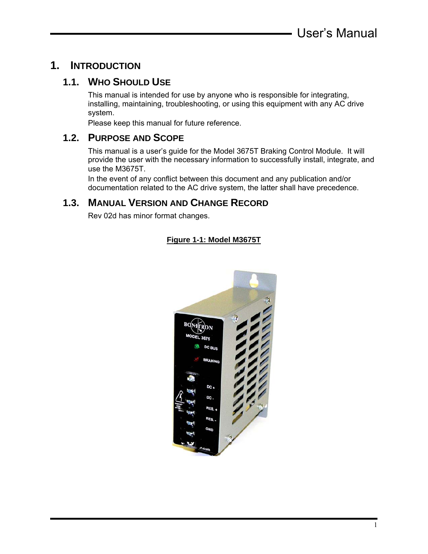## **1. INTRODUCTION**

## **1.1. WHO SHOULD USE**

This manual is intended for use by anyone who is responsible for integrating, installing, maintaining, troubleshooting, or using this equipment with any AC drive system.

Please keep this manual for future reference.

## **1.2. PURPOSE AND SCOPE**

This manual is a user's guide for the Model 3675T Braking Control Module. It will provide the user with the necessary information to successfully install, integrate, and use the M3675T.

In the event of any conflict between this document and any publication and/or documentation related to the AC drive system, the latter shall have precedence.

## **1.3. MANUAL VERSION AND CHANGE RECORD**

Rev 02d has minor format changes.

#### **Figure 1-1: Model M3675T**

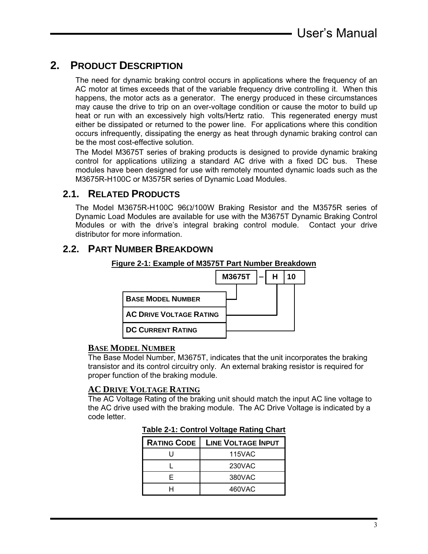## **2. PRODUCT DESCRIPTION**

The need for dynamic braking control occurs in applications where the frequency of an AC motor at times exceeds that of the variable frequency drive controlling it. When this happens, the motor acts as a generator. The energy produced in these circumstances may cause the drive to trip on an over-voltage condition or cause the motor to build up heat or run with an excessively high volts/Hertz ratio. This regenerated energy must either be dissipated or returned to the power line. For applications where this condition occurs infrequently, dissipating the energy as heat through dynamic braking control can be the most cost-effective solution.

The Model M3675T series of braking products is designed to provide dynamic braking control for applications utilizing a standard AC drive with a fixed DC bus. These modules have been designed for use with remotely mounted dynamic loads such as the M3675R-H100C or M3575R series of Dynamic Load Modules.

## **2.1. RELATED PRODUCTS**

The Model M3675R-H100C 96Ω/100W Braking Resistor and the M3575R series of Dynamic Load Modules are available for use with the M3675T Dynamic Braking Control Modules or with the drive's integral braking control module. Contact your drive distributor for more information.

## **2.2. PART NUMBER BREAKDOWN**

**Figure 2-1: Example of M3575T Part Number Breakdown**



#### **BASE MODEL NUMBER**

The Base Model Number, M3675T, indicates that the unit incorporates the braking transistor and its control circuitry only. An external braking resistor is required for proper function of the braking module.

#### **AC DRIVE VOLTAGE RATING**

The AC Voltage Rating of the braking unit should match the input AC line voltage to the AC drive used with the braking module. The AC Drive Voltage is indicated by a code letter.

| <b>Table 2-1: Control Voltage Rating Chart</b> |  |  |
|------------------------------------------------|--|--|
|                                                |  |  |

| <b>RATING CODE</b> | <b>LINE VOLTAGE INPUT</b> |
|--------------------|---------------------------|
|                    | 115VAC                    |
|                    | 230VAC                    |
| F.                 | 380VAC                    |
|                    | 460VAC                    |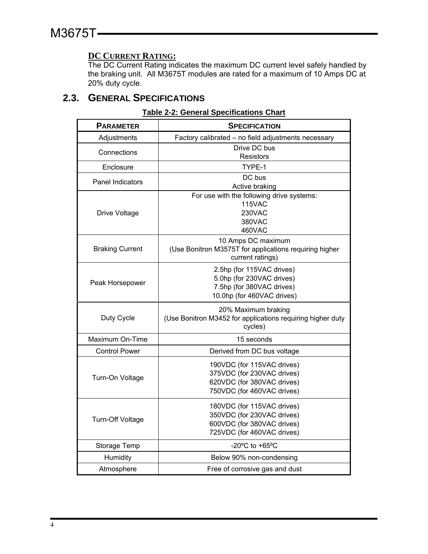#### **DC CURRENT RATING:**

The DC Current Rating indicates the maximum DC current level safely handled by the braking unit. All M3675T modules are rated for a maximum of 10 Amps DC at 20% duty cycle.

## **2.3. GENERAL SPECIFICATIONS**

| <b>PARAMETER</b>        | <b>SPECIFICATION</b>                                        |
|-------------------------|-------------------------------------------------------------|
| Adjustments             | Factory calibrated - no field adjustments necessary         |
| Connections             | Drive DC bus                                                |
|                         | Resistors                                                   |
| Enclosure               | TYPE-1                                                      |
| <b>Panel Indicators</b> | DC bus                                                      |
|                         | Active braking<br>For use with the following drive systems: |
|                         | <b>115VAC</b>                                               |
| Drive Voltage           | <b>230VAC</b>                                               |
|                         | 380VAC                                                      |
|                         | 460VAC                                                      |
|                         | 10 Amps DC maximum                                          |
| <b>Braking Current</b>  | (Use Bonitron M3575T for applications requiring higher      |
|                         | current ratings)                                            |
|                         | 2.5hp (for 115VAC drives)                                   |
|                         | 5.0hp (for 230VAC drives)                                   |
| Peak Horsepower         | 7.5hp (for 380VAC drives)                                   |
|                         | 10.0hp (for 460VAC drives)                                  |
|                         | 20% Maximum braking                                         |
| Duty Cycle              | (Use Bonitron M3452 for applications requiring higher duty  |
|                         | cycles)                                                     |
| Maximum On-Time         | 15 seconds                                                  |
| <b>Control Power</b>    | Derived from DC bus voltage                                 |
|                         | 190VDC (for 115VAC drives)                                  |
|                         | 375VDC (for 230VAC drives)                                  |
| Turn-On Voltage         | 620VDC (for 380VAC drives)                                  |
|                         | 750VDC (for 460VAC drives)                                  |
|                         | 180VDC (for 115VAC drives)                                  |
|                         | 350VDC (for 230VAC drives)                                  |
| Turn-Off Voltage        | 600VDC (for 380VAC drives)                                  |
|                         | 725VDC (for 460VAC drives)                                  |
| Storage Temp            | -20 $\mathrm{^{\circ}C}$ to +65 $\mathrm{^{\circ}C}$        |
| Humidity                | Below 90% non-condensing                                    |
| Atmosphere              | Free of corrosive gas and dust                              |

#### **Table 2-2: General Specifications Chart**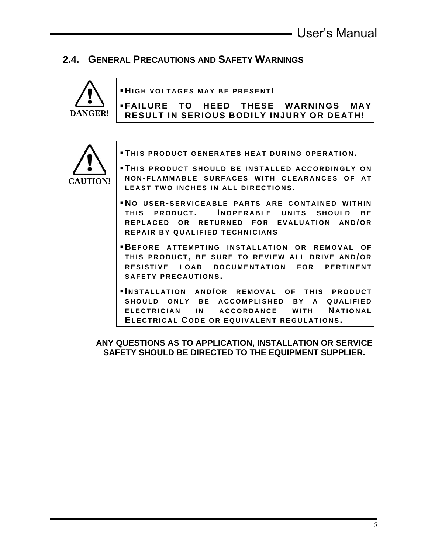## **2.4. GENERAL PRECAUTIONS AND SAFETY WARNINGS**



**HIGH VOLTAGES MAY BE PRESENT !** 

**FAILURE TO HEED THESE WARNINGS MAY RESULT IN SERIOUS BODILY INJURY OR DEATH!** 



**FILIS PRODUCT GENERATES HEAT DURING OPERATION.** 

- **THIS PRODUCT SHOULD BE INSTALLED ACCORDINGLY ON NON - FLAMMABLE SURFACES WITH CLEARANCES OF AT LEAST TWO INCHES IN ALL DIRECTIONS.**
- **NO USER-SERVICEABLE PARTS ARE CONTAINED WITHIN THIS PRODUCT . I NOPERABLE UNITS SHOULD BE REPLACED OR RETURNED FOR EVALUATION AND/OR REPAIR BY QUALIFIED TECHNICIANS**
- **BEFORE ATTEMPTING INSTALLATION OR REMOVAL OF THIS PRODUCT , BE SURE TO REVIEW ALL DRIVE AND / OR RESISTIVE LOAD DOCUMENTATION FOR PERTINENT SAFETY PRECAUTIONS.**
- **INSTALLATION AND/OR REMOVAL OF THIS PRODUCT SHOULD ONLY BE ACCOMPLISHED BY A QUALIFIED ELECTRICIAN IN ACCORDANCE WITH NATIONAL ELECTRICAL C ODE OR EQUIVALENT REGULATIONS.**

**ANY QUESTIONS AS TO APPLICATION, INSTALLATION OR SERVICE SAFETY SHOULD BE DIRECTED TO THE EQUIPMENT SUPPLIER.**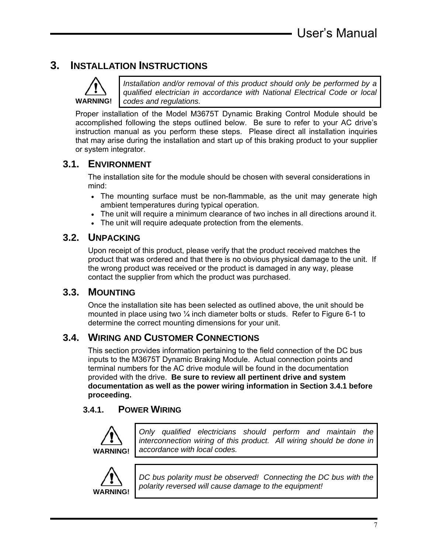## **3. INSTALLATION INSTRUCTIONS**



*Installation and/or removal of this product should only be performed by a qualified electrician in accordance with National Electrical Code or local codes and regulations.* 

Proper installation of the Model M3675T Dynamic Braking Control Module should be accomplished following the steps outlined below. Be sure to refer to your AC drive's instruction manual as you perform these steps. Please direct all installation inquiries that may arise during the installation and start up of this braking product to your supplier or system integrator.

## **3.1. ENVIRONMENT**

The installation site for the module should be chosen with several considerations in mind:

- The mounting surface must be non-flammable, as the unit may generate high ambient temperatures during typical operation.
- The unit will require a minimum clearance of two inches in all directions around it.
- The unit will require adequate protection from the elements.

## **3.2. UNPACKING**

Upon receipt of this product, please verify that the product received matches the product that was ordered and that there is no obvious physical damage to the unit. If the wrong product was received or the product is damaged in any way, please contact the supplier from which the product was purchased.

### **3.3. MOUNTING**

Once the installation site has been selected as outlined above, the unit should be mounted in place using two  $\frac{1}{4}$  inch diameter bolts or studs. Refer to Figure 6-1 to determine the correct mounting dimensions for your unit.

## **3.4. WIRING AND CUSTOMER CONNECTIONS**

This section provides information pertaining to the field connection of the DC bus inputs to the M3675T Dynamic Braking Module. Actual connection points and terminal numbers for the AC drive module will be found in the documentation provided with the drive. **Be sure to review all pertinent drive and system documentation as well as the power wiring information in Section 3.4.1 before proceeding.** 

### **3.4.1. POWER WIRING**



*Only qualified electricians should perform and maintain the interconnection wiring of this product. All wiring should be done in accordance with local codes.* 



*DC bus polarity must be observed! Connecting the DC bus with the polarity reversed will cause damage to the equipment!*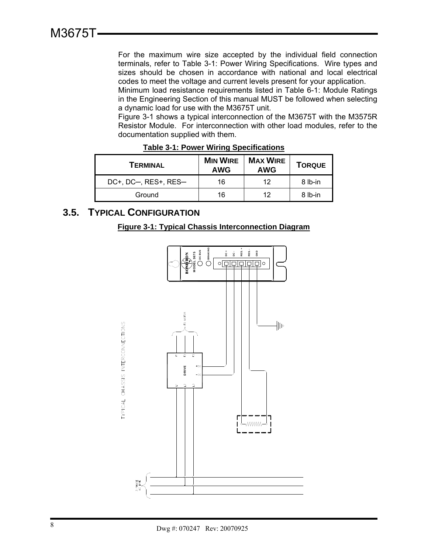For the maximum wire size accepted by the individual field connection terminals, refer to Table 3-1: Power Wiring Specifications. Wire types and sizes should be chosen in accordance with national and local electrical codes to meet the voltage and current levels present for your application.

Minimum load resistance requirements listed in Table 6-1: Module Ratings in the Engineering Section of this manual MUST be followed when selecting a dynamic load for use with the M3675T unit.

Figure 3-1 shows a typical interconnection of the M3675T with the M3575R Resistor Module. For interconnection with other load modules, refer to the documentation supplied with them.

| TERMINAL             | <b>MIN WIRE</b><br><b>AWG</b> | <b>MAX WIRE</b><br><b>AWG</b> | <b>TORQUE</b> |
|----------------------|-------------------------------|-------------------------------|---------------|
| DC+, DC-, RES+, RES- | 16                            | 12                            | 8 lb-in       |
| Ground               | 16                            | 12                            | 8 lb-in       |

**Table 3-1: Power Wiring Specifications**

## **3.5. TYPICAL CONFIGURATION**

#### **Figure 3-1: Typical Chassis Interconnection Diagram**

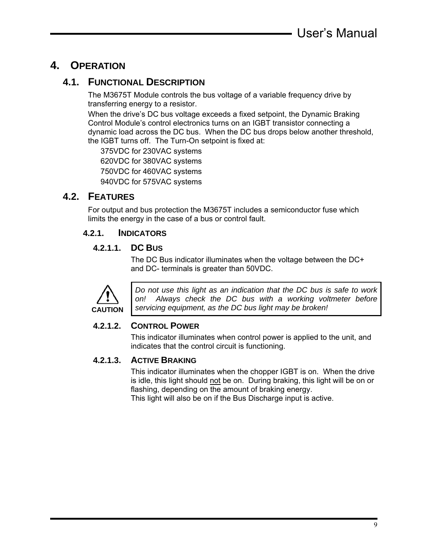## **4. OPERATION**

## **4.1. FUNCTIONAL DESCRIPTION**

The M3675T Module controls the bus voltage of a variable frequency drive by transferring energy to a resistor.

When the drive's DC bus voltage exceeds a fixed setpoint, the Dynamic Braking Control Module's control electronics turns on an IGBT transistor connecting a dynamic load across the DC bus. When the DC bus drops below another threshold, the IGBT turns off. The Turn-On setpoint is fixed at:

375VDC for 230VAC systems 620VDC for 380VAC systems 750VDC for 460VAC systems 940VDC for 575VAC systems

## **4.2. FEATURES**

For output and bus protection the M3675T includes a semiconductor fuse which limits the energy in the case of a bus or control fault.

#### **4.2.1. INDICATORS**

#### **4.2.1.1. DC BUS**

The DC Bus indicator illuminates when the voltage between the DC+ and DC- terminals is greater than 50VDC.



*Do not use this light as an indication that the DC bus is safe to work on! Always check the DC bus with a working voltmeter before servicing equipment, as the DC bus light may be broken!* 

#### **4.2.1.2. CONTROL POWER**

This indicator illuminates when control power is applied to the unit, and indicates that the control circuit is functioning.

#### **4.2.1.3. ACTIVE BRAKING**

This indicator illuminates when the chopper IGBT is on. When the drive is idle, this light should not be on. During braking, this light will be on or flashing, depending on the amount of braking energy. This light will also be on if the Bus Discharge input is active.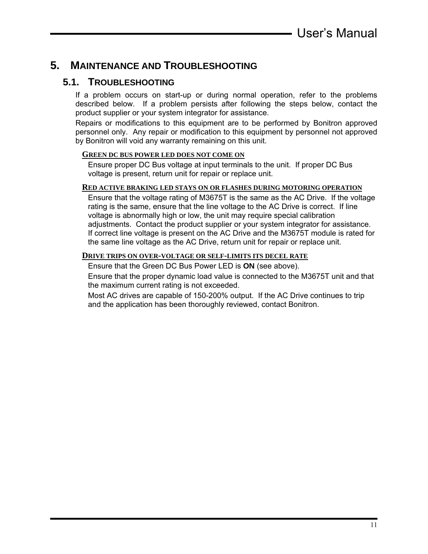## **5. MAINTENANCE AND TROUBLESHOOTING**

### **5.1. TROUBLESHOOTING**

If a problem occurs on start-up or during normal operation, refer to the problems described below. If a problem persists after following the steps below, contact the product supplier or your system integrator for assistance.

Repairs or modifications to this equipment are to be performed by Bonitron approved personnel only. Any repair or modification to this equipment by personnel not approved by Bonitron will void any warranty remaining on this unit.

#### **GREEN DC BUS POWER LED DOES NOT COME ON**

Ensure proper DC Bus voltage at input terminals to the unit. If proper DC Bus voltage is present, return unit for repair or replace unit.

#### **RED ACTIVE BRAKING LED STAYS ON OR FLASHES DURING MOTORING OPERATION**

Ensure that the voltage rating of M3675T is the same as the AC Drive. If the voltage rating is the same, ensure that the line voltage to the AC Drive is correct. If line voltage is abnormally high or low, the unit may require special calibration adjustments. Contact the product supplier or your system integrator for assistance. If correct line voltage is present on the AC Drive and the M3675T module is rated for the same line voltage as the AC Drive, return unit for repair or replace unit.

#### **DRIVE TRIPS ON OVER-VOLTAGE OR SELF-LIMITS ITS DECEL RATE**

Ensure that the Green DC Bus Power LED is **ON** (see above).

Ensure that the proper dynamic load value is connected to the M3675T unit and that the maximum current rating is not exceeded.

Most AC drives are capable of 150-200% output. If the AC Drive continues to trip and the application has been thoroughly reviewed, contact Bonitron.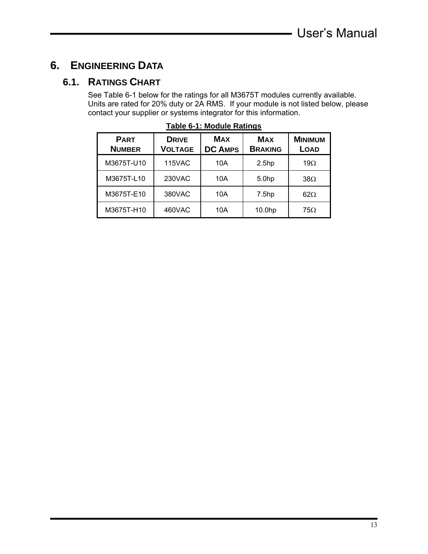## **6. ENGINEERING DATA**

## **6.1. RATINGS CHART**

See Table 6-1 below for the ratings for all M3675T modules currently available. Units are rated for 20% duty or 2A RMS. If your module is not listed below, please contact your supplier or systems integrator for this information.

| <b>PART</b><br><b>NUMBER</b> | <b>DRIVE</b><br><b>VOLTAGE</b> | <b>MAX</b><br><b>DC AMPS</b> | <b>MAX</b><br><b>BRAKING</b> | <b>MINIMUM</b><br><b>LOAD</b> |
|------------------------------|--------------------------------|------------------------------|------------------------------|-------------------------------|
| M3675T-U10                   | <b>115VAC</b>                  | 10A                          | 2.5 <sub>hp</sub>            | 19 $\Omega$                   |
| M3675T-L10                   | 230VAC                         | 10A                          | 5.0hp                        | $38\Omega$                    |
| M3675T-E10                   | 380VAC                         | 10A                          | 7.5 <sub>hp</sub>            | $62\Omega$                    |
| M3675T-H10                   | 460VAC                         | 10A                          | 10.0hp                       | $75\Omega$                    |

|  | Table 6-1: Module Ratings |
|--|---------------------------|
|  |                           |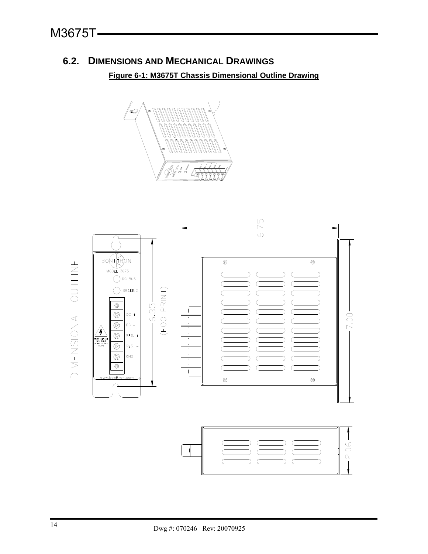## **6.2. DIMENSIONS AND MECHANICAL DRAWINGS**

**Figure 6-1: M3675T Chassis Dimensional Outline Drawing**



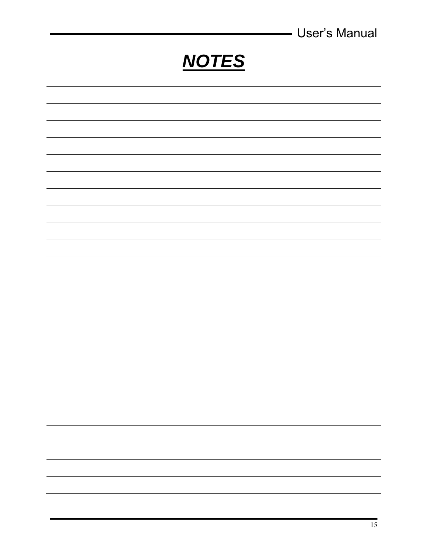|              | <b>User's Manual</b><br>- |
|--------------|---------------------------|
| <b>NOTES</b> |                           |
|              |                           |
|              |                           |
|              |                           |
|              |                           |
|              |                           |
|              |                           |
|              |                           |
|              |                           |
|              |                           |
|              |                           |
|              |                           |
|              |                           |
|              |                           |
|              |                           |
|              |                           |
|              |                           |
|              |                           |
|              |                           |
|              |                           |
|              |                           |